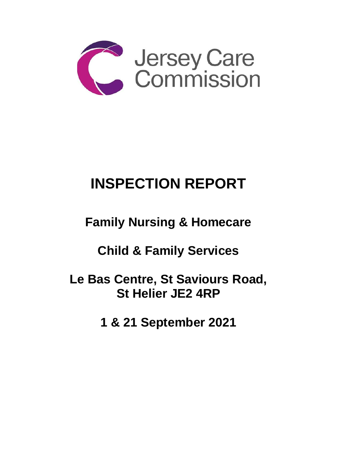

# **INSPECTION REPORT**

## **Family Nursing & Homecare**

### **Child & Family Services**

**Le Bas Centre, St Saviours Road, St Helier JE2 4RP**

**1 & 21 September 2021**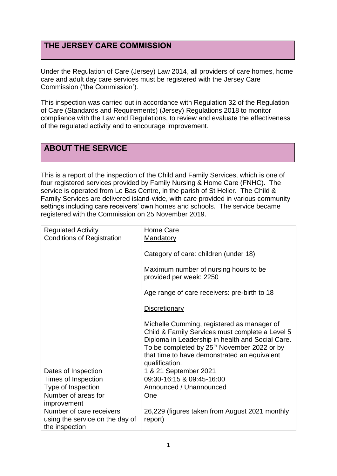#### **THE JERSEY CARE COMMISSION**

Under the Regulation of Care (Jersey) Law 2014, all providers of care homes, home care and adult day care services must be registered with the Jersey Care Commission ('the Commission').

This inspection was carried out in accordance with Regulation 32 of the Regulation of Care (Standards and Requirements) (Jersey) Regulations 2018 to monitor compliance with the Law and Regulations, to review and evaluate the effectiveness of the regulated activity and to encourage improvement.

#### **ABOUT THE SERVICE**

This is a report of the inspection of the Child and Family Services, which is one of four registered services provided by Family Nursing & Home Care (FNHC). The service is operated from Le Bas Centre, in the parish of St Helier. The Child & Family Services are delivered island-wide, with care provided in various community settings including care receivers' own homes and schools. The service became registered with the Commission on 25 November 2019.

| <b>Regulated Activity</b>         | Home Care                                               |
|-----------------------------------|---------------------------------------------------------|
| <b>Conditions of Registration</b> | <b>Mandatory</b>                                        |
|                                   |                                                         |
|                                   | Category of care: children (under 18)                   |
|                                   |                                                         |
|                                   | Maximum number of nursing hours to be                   |
|                                   | provided per week: 2250                                 |
|                                   | Age range of care receivers: pre-birth to 18            |
|                                   |                                                         |
|                                   | <b>Discretionary</b>                                    |
|                                   |                                                         |
|                                   | Michelle Cumming, registered as manager of              |
|                                   | Child & Family Services must complete a Level 5         |
|                                   | Diploma in Leadership in health and Social Care.        |
|                                   | To be completed by 25 <sup>th</sup> November 2022 or by |
|                                   | that time to have demonstrated an equivalent            |
|                                   | qualification.                                          |
| Dates of Inspection               | 1 & 21 September 2021                                   |
| Times of Inspection               | 09:30-16:15 & 09:45-16:00                               |
| Type of Inspection                | Announced / Unannounced                                 |
| Number of areas for               | One                                                     |
| improvement                       |                                                         |
| Number of care receivers          | 26,229 (figures taken from August 2021 monthly          |
| using the service on the day of   | report)                                                 |
| the inspection                    |                                                         |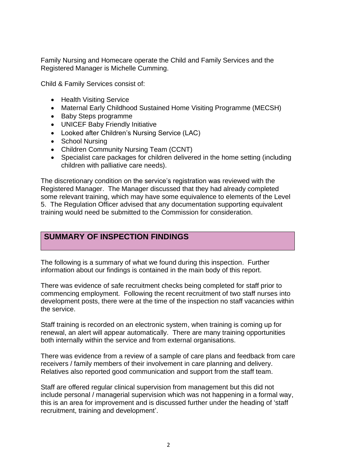Family Nursing and Homecare operate the Child and Family Services and the Registered Manager is Michelle Cumming.

Child & Family Services consist of:

- Health Visiting Service
- Maternal Early Childhood Sustained Home Visiting Programme (MECSH)
- Baby Steps programme
- UNICEF Baby Friendly Initiative
- Looked after Children's Nursing Service (LAC)
- School Nursing
- Children Community Nursing Team (CCNT)
- Specialist care packages for children delivered in the home setting (including children with palliative care needs).

The discretionary condition on the service's registration was reviewed with the Registered Manager. The Manager discussed that they had already completed some relevant training, which may have some equivalence to elements of the Level 5. The Regulation Officer advised that any documentation supporting equivalent training would need be submitted to the Commission for consideration.

#### **SUMMARY OF INSPECTION FINDINGS**

The following is a summary of what we found during this inspection. Further information about our findings is contained in the main body of this report.

There was evidence of safe recruitment checks being completed for staff prior to commencing employment. Following the recent recruitment of two staff nurses into development posts, there were at the time of the inspection no staff vacancies within the service.

Staff training is recorded on an electronic system, when training is coming up for renewal, an alert will appear automatically. There are many training opportunities both internally within the service and from external organisations.

There was evidence from a review of a sample of care plans and feedback from care receivers / family members of their involvement in care planning and delivery. Relatives also reported good communication and support from the staff team.

Staff are offered regular clinical supervision from management but this did not include personal / managerial supervision which was not happening in a formal way, this is an area for improvement and is discussed further under the heading of 'staff recruitment, training and development'.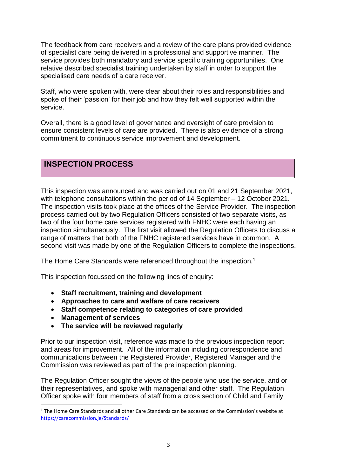The feedback from care receivers and a review of the care plans provided evidence of specialist care being delivered in a professional and supportive manner. The service provides both mandatory and service specific training opportunities. One relative described specialist training undertaken by staff in order to support the specialised care needs of a care receiver.

Staff, who were spoken with, were clear about their roles and responsibilities and spoke of their 'passion' for their job and how they felt well supported within the service.

Overall, there is a good level of governance and oversight of care provision to ensure consistent levels of care are provided. There is also evidence of a strong commitment to continuous service improvement and development.

#### **INSPECTION PROCESS**

This inspection was announced and was carried out on 01 and 21 September 2021, with telephone consultations within the period of 14 September – 12 October 2021. The inspection visits took place at the offices of the Service Provider. The inspection process carried out by two Regulation Officers consisted of two separate visits, as two of the four home care services registered with FNHC were each having an inspection simultaneously. The first visit allowed the Regulation Officers to discuss a range of matters that both of the FNHC registered services have in common. A second visit was made by one of the Regulation Officers to complete the inspections.

The Home Care Standards were referenced throughout the inspection.<sup>1</sup>

This inspection focussed on the following lines of enquiry:

- **Staff recruitment, training and development**
- **Approaches to care and welfare of care receivers**
- **Staff competence relating to categories of care provided**
- **Management of services**
- **The service will be reviewed regularly**

Prior to our inspection visit, reference was made to the previous inspection report and areas for improvement. All of the information including correspondence and communications between the Registered Provider, Registered Manager and the Commission was reviewed as part of the pre inspection planning.

The Regulation Officer sought the views of the people who use the service, and or their representatives, and spoke with managerial and other staff. The Regulation Officer spoke with four members of staff from a cross section of Child and Family

<sup>&</sup>lt;sup>1</sup> The Home Care Standards and all other Care Standards can be accessed on the Commission's website at [https://carecommission.je/Standards/](https://carecommission.je/standards/)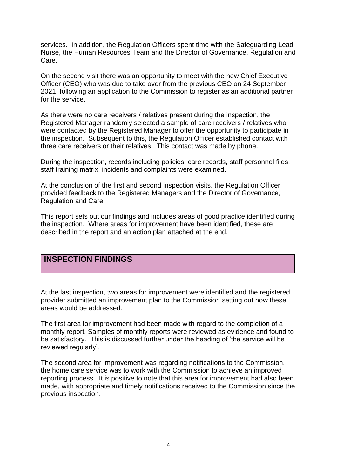services. In addition, the Regulation Officers spent time with the Safeguarding Lead Nurse, the Human Resources Team and the Director of Governance, Regulation and Care.

On the second visit there was an opportunity to meet with the new Chief Executive Officer (CEO) who was due to take over from the previous CEO on 24 September 2021, following an application to the Commission to register as an additional partner for the service.

As there were no care receivers / relatives present during the inspection, the Registered Manager randomly selected a sample of care receivers / relatives who were contacted by the Registered Manager to offer the opportunity to participate in the inspection. Subsequent to this, the Regulation Officer established contact with three care receivers or their relatives. This contact was made by phone.

During the inspection, records including policies, care records, staff personnel files, staff training matrix, incidents and complaints were examined.

At the conclusion of the first and second inspection visits, the Regulation Officer provided feedback to the Registered Managers and the Director of Governance, Regulation and Care.

This report sets out our findings and includes areas of good practice identified during the inspection. Where areas for improvement have been identified, these are described in the report and an action plan attached at the end.

#### **INSPECTION FINDINGS**

At the last inspection, two areas for improvement were identified and the registered provider submitted an improvement plan to the Commission setting out how these areas would be addressed.

The first area for improvement had been made with regard to the completion of a monthly report. Samples of monthly reports were reviewed as evidence and found to be satisfactory. This is discussed further under the heading of 'the service will be reviewed regularly'.

The second area for improvement was regarding notifications to the Commission, the home care service was to work with the Commission to achieve an improved reporting process. It is positive to note that this area for improvement had also been made, with appropriate and timely notifications received to the Commission since the previous inspection.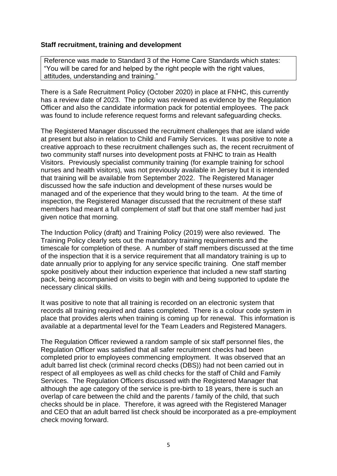#### **Staff recruitment, training and development**

Reference was made to Standard 3 of the Home Care Standards which states: "You will be cared for and helped by the right people with the right values, attitudes, understanding and training."

There is a Safe Recruitment Policy (October 2020) in place at FNHC, this currently has a review date of 2023. The policy was reviewed as evidence by the Regulation Officer and also the candidate information pack for potential employees. The pack was found to include reference request forms and relevant safeguarding checks.

The Registered Manager discussed the recruitment challenges that are island wide at present but also in relation to Child and Family Services. It was positive to note a creative approach to these recruitment challenges such as, the recent recruitment of two community staff nurses into development posts at FNHC to train as Health Visitors. Previously specialist community training (for example training for school nurses and health visitors), was not previously available in Jersey but it is intended that training will be available from September 2022. The Registered Manager discussed how the safe induction and development of these nurses would be managed and of the experience that they would bring to the team. At the time of inspection, the Registered Manager discussed that the recruitment of these staff members had meant a full complement of staff but that one staff member had just given notice that morning.

The Induction Policy (draft) and Training Policy (2019) were also reviewed. The Training Policy clearly sets out the mandatory training requirements and the timescale for completion of these. A number of staff members discussed at the time of the inspection that it is a service requirement that all mandatory training is up to date annually prior to applying for any service specific training. One staff member spoke positively about their induction experience that included a new staff starting pack, being accompanied on visits to begin with and being supported to update the necessary clinical skills.

It was positive to note that all training is recorded on an electronic system that records all training required and dates completed. There is a colour code system in place that provides alerts when training is coming up for renewal. This information is available at a departmental level for the Team Leaders and Registered Managers.

The Regulation Officer reviewed a random sample of six staff personnel files, the Regulation Officer was satisfied that all safer recruitment checks had been completed prior to employees commencing employment. It was observed that an adult barred list check (criminal record checks (DBS)) had not been carried out in respect of all employees as well as child checks for the staff of Child and Family Services. The Regulation Officers discussed with the Registered Manager that although the age category of the service is pre-birth to 18 years, there is such an overlap of care between the child and the parents / family of the child, that such checks should be in place. Therefore, it was agreed with the Registered Manager and CEO that an adult barred list check should be incorporated as a pre-employment check moving forward.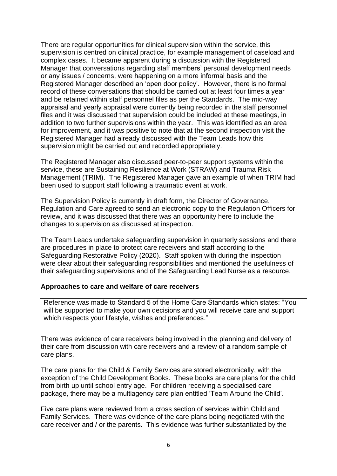There are regular opportunities for clinical supervision within the service, this supervision is centred on clinical practice, for example management of caseload and complex cases. It became apparent during a discussion with the Registered Manager that conversations regarding staff members' personal development needs or any issues / concerns, were happening on a more informal basis and the Registered Manager described an 'open door policy'. However, there is no formal record of these conversations that should be carried out at least four times a year and be retained within staff personnel files as per the Standards. The mid-way appraisal and yearly appraisal were currently being recorded in the staff personnel files and it was discussed that supervision could be included at these meetings, in addition to two further supervisions within the year. This was identified as an area for improvement, and it was positive to note that at the second inspection visit the Registered Manager had already discussed with the Team Leads how this supervision might be carried out and recorded appropriately.

The Registered Manager also discussed peer-to-peer support systems within the service, these are Sustaining Resilience at Work (STRAW) and Trauma Risk Management (TRIM). The Registered Manager gave an example of when TRIM had been used to support staff following a traumatic event at work.

The Supervision Policy is currently in draft form, the Director of Governance, Regulation and Care agreed to send an electronic copy to the Regulation Officers for review, and it was discussed that there was an opportunity here to include the changes to supervision as discussed at inspection.

The Team Leads undertake safeguarding supervision in quarterly sessions and there are procedures in place to protect care receivers and staff according to the Safeguarding Restorative Policy (2020). Staff spoken with during the inspection were clear about their safeguarding responsibilities and mentioned the usefulness of their safeguarding supervisions and of the Safeguarding Lead Nurse as a resource.

#### **Approaches to care and welfare of care receivers**

Reference was made to Standard 5 of the Home Care Standards which states: "You will be supported to make your own decisions and you will receive care and support which respects your lifestyle, wishes and preferences."

There was evidence of care receivers being involved in the planning and delivery of their care from discussion with care receivers and a review of a random sample of care plans.

The care plans for the Child & Family Services are stored electronically, with the exception of the Child Development Books. These books are care plans for the child from birth up until school entry age. For children receiving a specialised care package, there may be a multiagency care plan entitled 'Team Around the Child'.

Five care plans were reviewed from a cross section of services within Child and Family Services. There was evidence of the care plans being negotiated with the care receiver and / or the parents. This evidence was further substantiated by the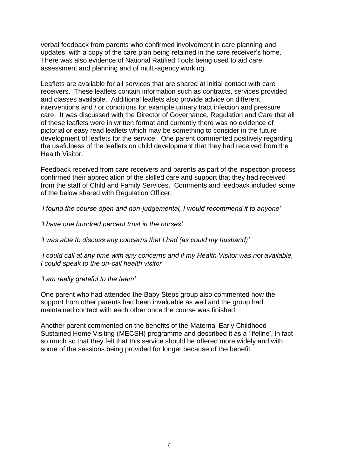verbal feedback from parents who confirmed involvement in care planning and updates, with a copy of the care plan being retained in the care receiver's home. There was also evidence of National Ratified Tools being used to aid care assessment and planning and of multi-agency working.

Leaflets are available for all services that are shared at initial contact with care receivers. These leaflets contain information such as contracts, services provided and classes available. Additional leaflets also provide advice on different interventions and / or conditions for example urinary tract infection and pressure care. It was discussed with the Director of Governance, Regulation and Care that all of these leaflets were in written format and currently there was no evidence of pictorial or easy read leaflets which may be something to consider in the future development of leaflets for the service. One parent commented positively regarding the usefulness of the leaflets on child development that they had received from the Health Visitor.

Feedback received from care receivers and parents as part of the inspection process confirmed their appreciation of the skilled care and support that they had received from the staff of Child and Family Services. Comments and feedback included some of the below shared with Regulation Officer:

*'I found the course open and non-judgemental, I would recommend it to anyone'*

*'I have one hundred percent trust in the nurses'*

*'I was able to discuss any concerns that I had (as could my husband)'*

*'I could call at any time with any concerns and if my Health Visitor was not available, I could speak to the on-call health visitor'*

*'I am really grateful to the team'*

One parent who had attended the Baby Steps group also commented how the support from other parents had been invaluable as well and the group had maintained contact with each other once the course was finished.

Another parent commented on the benefits of the Maternal Early Childhood Sustained Home Visiting (MECSH) programme and described it as a 'lifeline', in fact so much so that they felt that this service should be offered more widely and with some of the sessions being provided for longer because of the benefit.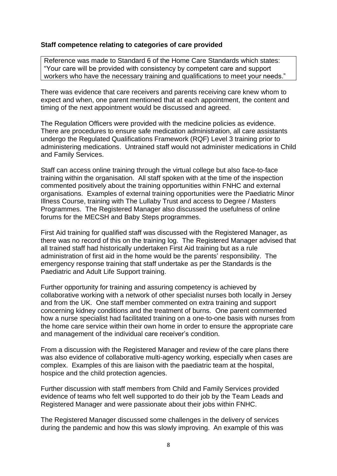#### **Staff competence relating to categories of care provided**

Reference was made to Standard 6 of the Home Care Standards which states: "Your care will be provided with consistency by competent care and support workers who have the necessary training and qualifications to meet your needs."

There was evidence that care receivers and parents receiving care knew whom to expect and when, one parent mentioned that at each appointment, the content and timing of the next appointment would be discussed and agreed.

The Regulation Officers were provided with the medicine policies as evidence. There are procedures to ensure safe medication administration, all care assistants undergo the Regulated Qualifications Framework (RQF) Level 3 training prior to administering medications. Untrained staff would not administer medications in Child and Family Services.

Staff can access online training through the virtual college but also face-to-face training within the organisation. All staff spoken with at the time of the inspection commented positively about the training opportunities within FNHC and external organisations. Examples of external training opportunities were the Paediatric Minor Illness Course, training with The Lullaby Trust and access to Degree / Masters Programmes. The Registered Manager also discussed the usefulness of online forums for the MECSH and Baby Steps programmes.

First Aid training for qualified staff was discussed with the Registered Manager, as there was no record of this on the training log. The Registered Manager advised that all trained staff had historically undertaken First Aid training but as a rule administration of first aid in the home would be the parents' responsibility. The emergency response training that staff undertake as per the Standards is the Paediatric and Adult Life Support training.

Further opportunity for training and assuring competency is achieved by collaborative working with a network of other specialist nurses both locally in Jersey and from the UK. One staff member commented on extra training and support concerning kidney conditions and the treatment of burns. One parent commented how a nurse specialist had facilitated training on a one-to-one basis with nurses from the home care service within their own home in order to ensure the appropriate care and management of the individual care receiver's condition.

From a discussion with the Registered Manager and review of the care plans there was also evidence of collaborative multi-agency working, especially when cases are complex. Examples of this are liaison with the paediatric team at the hospital, hospice and the child protection agencies.

Further discussion with staff members from Child and Family Services provided evidence of teams who felt well supported to do their job by the Team Leads and Registered Manager and were passionate about their jobs within FNHC.

The Registered Manager discussed some challenges in the delivery of services during the pandemic and how this was slowly improving. An example of this was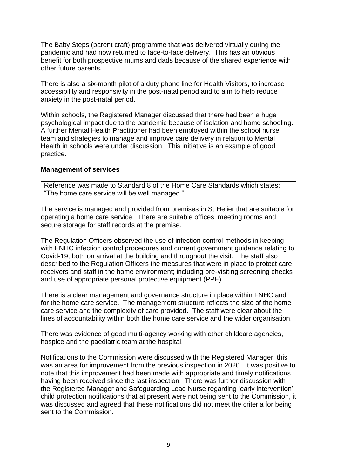The Baby Steps (parent craft) programme that was delivered virtually during the pandemic and had now returned to face-to-face delivery. This has an obvious benefit for both prospective mums and dads because of the shared experience with other future parents.

There is also a six-month pilot of a duty phone line for Health Visitors, to increase accessibility and responsivity in the post-natal period and to aim to help reduce anxiety in the post-natal period.

Within schools, the Registered Manager discussed that there had been a huge psychological impact due to the pandemic because of isolation and home schooling. A further Mental Health Practitioner had been employed within the school nurse team and strategies to manage and improve care delivery in relation to Mental Health in schools were under discussion. This initiative is an example of good practice.

#### **Management of services**

Reference was made to Standard 8 of the Home Care Standards which states: "The home care service will be well managed."

The service is managed and provided from premises in St Helier that are suitable for operating a home care service. There are suitable offices, meeting rooms and secure storage for staff records at the premise.

The Regulation Officers observed the use of infection control methods in keeping with FNHC infection control procedures and current government guidance relating to Covid-19, both on arrival at the building and throughout the visit. The staff also described to the Regulation Officers the measures that were in place to protect care receivers and staff in the home environment; including pre-visiting screening checks and use of appropriate personal protective equipment (PPE).

There is a clear management and governance structure in place within FNHC and for the home care service. The management structure reflects the size of the home care service and the complexity of care provided. The staff were clear about the lines of accountability within both the home care service and the wider organisation.

There was evidence of good multi-agency working with other childcare agencies, hospice and the paediatric team at the hospital.

Notifications to the Commission were discussed with the Registered Manager, this was an area for improvement from the previous inspection in 2020. It was positive to note that this improvement had been made with appropriate and timely notifications having been received since the last inspection. There was further discussion with the Registered Manager and Safeguarding Lead Nurse regarding 'early intervention' child protection notifications that at present were not being sent to the Commission, it was discussed and agreed that these notifications did not meet the criteria for being sent to the Commission.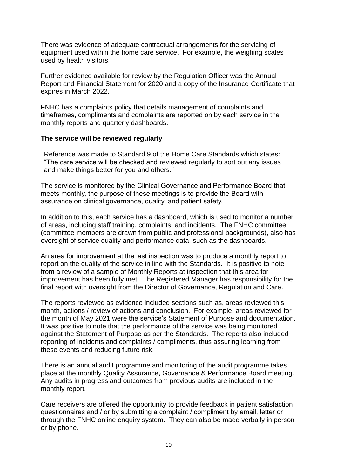There was evidence of adequate contractual arrangements for the servicing of equipment used within the home care service. For example, the weighing scales used by health visitors.

Further evidence available for review by the Regulation Officer was the Annual Report and Financial Statement for 2020 and a copy of the Insurance Certificate that expires in March 2022.

FNHC has a complaints policy that details management of complaints and timeframes, compliments and complaints are reported on by each service in the monthly reports and quarterly dashboards.

#### **The service will be reviewed regularly**

Reference was made to Standard 9 of the Home Care Standards which states: "The care service will be checked and reviewed regularly to sort out any issues and make things better for you and others."

The service is monitored by the Clinical Governance and Performance Board that meets monthly, the purpose of these meetings is to provide the Board with assurance on clinical governance, quality, and patient safety.

In addition to this, each service has a dashboard, which is used to monitor a number of areas, including staff training, complaints, and incidents. The FNHC committee (committee members are drawn from public and professional backgrounds), also has oversight of service quality and performance data, such as the dashboards.

An area for improvement at the last inspection was to produce a monthly report to report on the quality of the service in line with the Standards. It is positive to note from a review of a sample of Monthly Reports at inspection that this area for improvement has been fully met. The Registered Manager has responsibility for the final report with oversight from the Director of Governance, Regulation and Care.

The reports reviewed as evidence included sections such as, areas reviewed this month, actions / review of actions and conclusion. For example, areas reviewed for the month of May 2021 were the service's Statement of Purpose and documentation. It was positive to note that the performance of the service was being monitored against the Statement of Purpose as per the Standards. The reports also included reporting of incidents and complaints / compliments, thus assuring learning from these events and reducing future risk.

There is an annual audit programme and monitoring of the audit programme takes place at the monthly Quality Assurance, Governance & Performance Board meeting. Any audits in progress and outcomes from previous audits are included in the monthly report.

Care receivers are offered the opportunity to provide feedback in patient satisfaction questionnaires and / or by submitting a complaint / compliment by email, letter or through the FNHC online enquiry system. They can also be made verbally in person or by phone.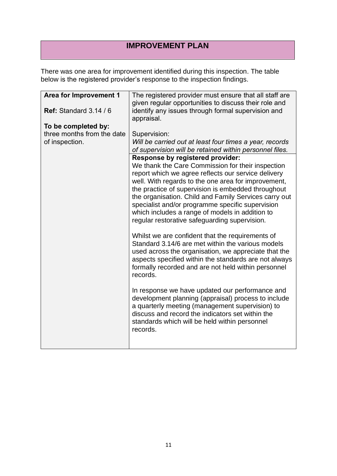### **IMPROVEMENT PLAN**

There was one area for improvement identified during this inspection. The table below is the registered provider's response to the inspection findings.

| The registered provider must ensure that all staff are<br>given regular opportunities to discuss their role and<br>identify any issues through formal supervision and<br>appraisal.                                                                                                                                                                                                                                                                                        |
|----------------------------------------------------------------------------------------------------------------------------------------------------------------------------------------------------------------------------------------------------------------------------------------------------------------------------------------------------------------------------------------------------------------------------------------------------------------------------|
|                                                                                                                                                                                                                                                                                                                                                                                                                                                                            |
|                                                                                                                                                                                                                                                                                                                                                                                                                                                                            |
| Supervision:                                                                                                                                                                                                                                                                                                                                                                                                                                                               |
| Will be carried out at least four times a year, records<br>of supervision will be retained within personnel files.                                                                                                                                                                                                                                                                                                                                                         |
| Response by registered provider:<br>We thank the Care Commission for their inspection<br>report which we agree reflects our service delivery<br>well. With regards to the one area for improvement,<br>the practice of supervision is embedded throughout<br>the organisation. Child and Family Services carry out<br>specialist and/or programme specific supervision<br>which includes a range of models in addition to<br>regular restorative safeguarding supervision. |
| Whilst we are confident that the requirements of<br>Standard 3.14/6 are met within the various models<br>used across the organisation, we appreciate that the<br>aspects specified within the standards are not always<br>formally recorded and are not held within personnel<br>records.                                                                                                                                                                                  |
| In response we have updated our performance and<br>development planning (appraisal) process to include<br>a quarterly meeting (management supervision) to<br>discuss and record the indicators set within the<br>standards which will be held within personnel<br>records.                                                                                                                                                                                                 |
|                                                                                                                                                                                                                                                                                                                                                                                                                                                                            |